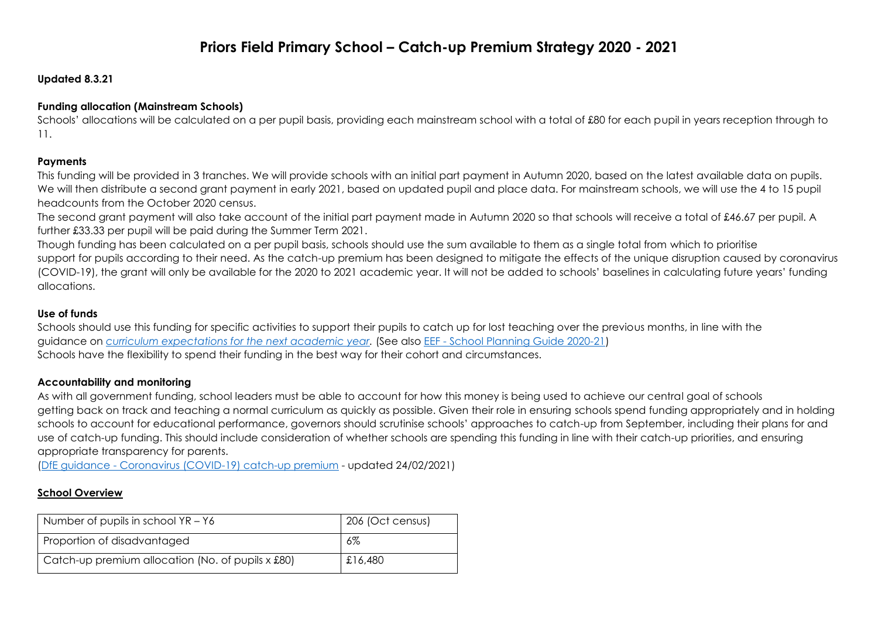# **Priors Field Primary School – Catch-up Premium Strategy 2020 - 2021**

#### **Updated 8.3.21**

#### **Funding allocation (Mainstream Schools)**

Schools' allocations will be calculated on a per pupil basis, providing each mainstream school with a total of £80 for each pupil in years reception through to 11.

#### **Payments**

This funding will be provided in 3 tranches. We will provide schools with an initial part payment in Autumn 2020, based on the latest available data on pupils. We will then distribute a second grant payment in early 2021, based on updated pupil and place data. For mainstream schools, we will use the 4 to 15 pupil headcounts from the October 2020 census.

The second grant payment will also take account of the initial part payment made in Autumn 2020 so that schools will receive a total of £46.67 per pupil. A further £33.33 per pupil will be paid during the Summer Term 2021.

Though funding has been calculated on a per pupil basis, schools should use the sum available to them as a single total from which to prioritise support for pupils according to their need. As the catch-up premium has been designed to mitigate the effects of the unique disruption caused by coronavirus (COVID-19), the grant will only be available for the 2020 to 2021 academic year. It will not be added to schools' baselines in calculating future years' funding allocations.

#### **Use of funds**

Schools should use this funding for specific activities to support their pupils to catch up for lost teaching over the previous months, in line with the guidance on *[curriculum expectations for the next academic year.](https://www.gov.uk/government/publications/actions-for-schools-during-the-coronavirus-outbreak#section-3-curriculum-behaviour-and-pastoral-support)* (See also EEF - [School Planning Guide 2020-21\)](https://educationendowmentfoundation.org.uk/covid-19-resources/guide-to-supporting-schools-planning/) Schools have the flexibility to spend their funding in the best way for their cohort and circumstances.

#### **Accountability and monitoring**

As with all government funding, school leaders must be able to account for how this money is being used to achieve our central goal of schools getting back on track and teaching a normal curriculum as quickly as possible. Given their role in ensuring schools spend funding appropriately and in holding schools to account for educational performance, governors should scrutinise schools' approaches to catch-up from September, including their plans for and use of catch-up funding. This should include consideration of whether schools are spending this funding in line with their catch-up priorities, and ensuring appropriate transparency for parents.

(DfE guidance - [Coronavirus \(COVID-19\) catch-up premium](https://www.gov.uk/government/publications/catch-up-premium-coronavirus-covid-19) - updated 24/02/2021)

#### **School Overview**

| Number of pupils in school $YR - Y6$              | 206 (Oct census) |
|---------------------------------------------------|------------------|
| Proportion of disadvantaged                       | 6%               |
| Catch-up premium allocation (No. of pupils x £80) | £16,480          |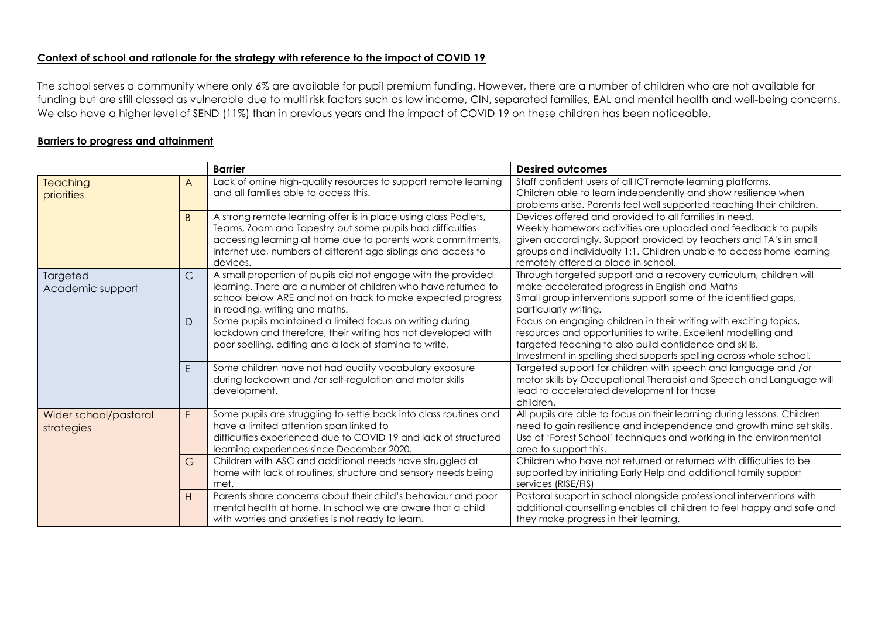## **Context of school and rationale for the strategy with reference to the impact of COVID 19**

The school serves a community where only 6% are available for pupil premium funding. However, there are a number of children who are not available for funding but are still classed as vulnerable due to multi risk factors such as low income, CIN, separated families, EAL and mental health and well-being concerns. We also have a higher level of SEND (11%) than in previous years and the impact of COVID 19 on these children has been noticeable.

## **Barriers to progress and attainment**

|                       |              | <b>Barrier</b>                                                                                                               | <b>Desired outcomes</b>                                                                                                                        |
|-----------------------|--------------|------------------------------------------------------------------------------------------------------------------------------|------------------------------------------------------------------------------------------------------------------------------------------------|
| <b>Teaching</b>       | A            | Lack of online high-quality resources to support remote learning<br>and all families able to access this.                    | Staff confident users of all ICT remote learning platforms.<br>Children able to learn independently and show resilience when                   |
| priorities            |              |                                                                                                                              | problems arise. Parents feel well supported teaching their children.                                                                           |
|                       | B.           | A strong remote learning offer is in place using class Padlets,                                                              | Devices offered and provided to all families in need.                                                                                          |
|                       |              | Teams, Zoom and Tapestry but some pupils had difficulties                                                                    | Weekly homework activities are uploaded and feedback to pupils                                                                                 |
|                       |              | accessing learning at home due to parents work commitments,                                                                  | given accordingly. Support provided by teachers and TA's in small                                                                              |
|                       |              | internet use, numbers of different age siblings and access to<br>devices.                                                    | groups and individually 1:1. Children unable to access home learning<br>remotely offered a place in school                                     |
| Targeted              | $\mathsf{C}$ | A small proportion of pupils did not engage with the provided                                                                | Through targeted support and a recovery curriculum, children will                                                                              |
| Academic support      |              | learning. There are a number of children who have returned to<br>school below ARE and not on track to make expected progress | make accelerated progress in English and Maths<br>Small group interventions support some of the identified gaps,                               |
|                       |              | in reading, writing and maths.                                                                                               | particularly writing.                                                                                                                          |
|                       | D            | Some pupils maintained a limited focus on writing during                                                                     | Focus on engaging children in their writing with exciting topics,                                                                              |
|                       |              | lockdown and therefore, their writing has not developed with                                                                 | resources and opportunities to write. Excellent modelling and                                                                                  |
|                       |              | poor spelling, editing and a lack of stamina to write.                                                                       | targeted teaching to also build confidence and skills.<br>Investment in spelling shed supports spelling across whole school.                   |
|                       | E            | Some children have not had quality vocabulary exposure                                                                       | Targeted support for children with speech and language and /or                                                                                 |
|                       |              | during lockdown and /or self-regulation and motor skills                                                                     | motor skills by Occupational Therapist and Speech and Language will                                                                            |
|                       |              | development.                                                                                                                 | lead to accelerated development for those<br>children.                                                                                         |
| Wider school/pastoral | F.           | Some pupils are struggling to settle back into class routines and                                                            | All pupils are able to focus on their learning during lessons. Children                                                                        |
| strategies            |              | have a limited attention span linked to                                                                                      | need to gain resilience and independence and growth mind set skills.                                                                           |
|                       |              | difficulties experienced due to COVID 19 and lack of structured<br>learning experiences since December 2020.                 | Use of 'Forest School' techniques and working in the environmental<br>area to support this.                                                    |
|                       | G            | Children with ASC and additional needs have struggled at                                                                     | Children who have not returned or returned with difficulties to be                                                                             |
|                       |              | home with lack of routines, structure and sensory needs being                                                                | supported by initiating Early Help and additional family support                                                                               |
|                       |              | met.                                                                                                                         | services (RISE/FIS)                                                                                                                            |
|                       | Н            | Parents share concerns about their child's behaviour and poor<br>mental health at home. In school we are aware that a child  | Pastoral support in school alongside professional interventions with<br>additional counselling enables all children to feel happy and safe and |
|                       |              | with worries and anxieties is not ready to learn.                                                                            | they make progress in their learning.                                                                                                          |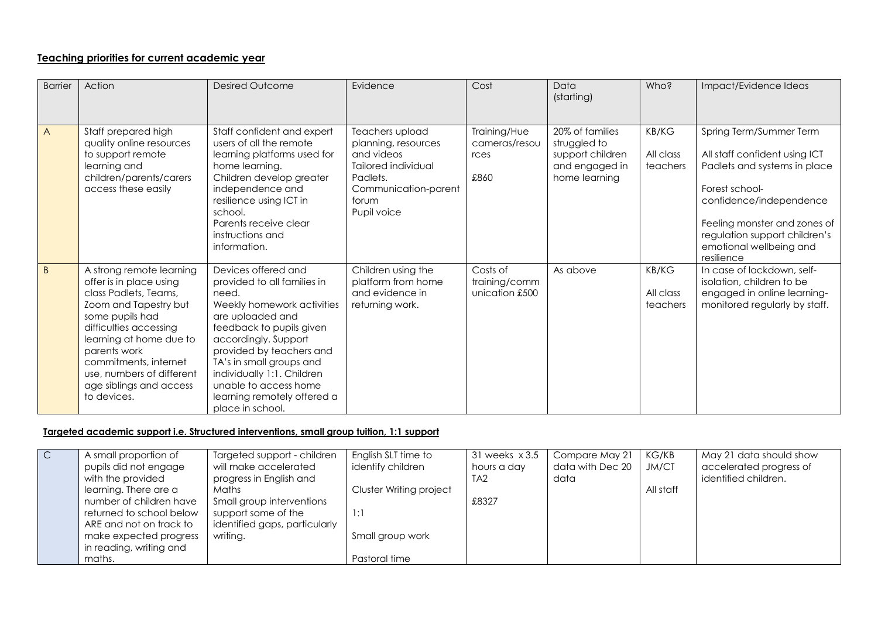# **Teaching priorities for current academic year**

| <b>Barrier</b> | Action                                                                                                                                                                                                                                                                                        | <b>Desired Outcome</b>                                                                                                                                                                                                                                                                                                              | Evidence                                                                                                                                | Cost                                          | Data<br>(starting)                                                                     | Who?                           | Impact/Evidence Ideas                                                                                                                                                                                                                           |
|----------------|-----------------------------------------------------------------------------------------------------------------------------------------------------------------------------------------------------------------------------------------------------------------------------------------------|-------------------------------------------------------------------------------------------------------------------------------------------------------------------------------------------------------------------------------------------------------------------------------------------------------------------------------------|-----------------------------------------------------------------------------------------------------------------------------------------|-----------------------------------------------|----------------------------------------------------------------------------------------|--------------------------------|-------------------------------------------------------------------------------------------------------------------------------------------------------------------------------------------------------------------------------------------------|
| $\overline{A}$ | Staff prepared high<br>quality online resources<br>to support remote<br>learning and<br>children/parents/carers<br>access these easily                                                                                                                                                        | Staff confident and expert<br>users of all the remote<br>learning platforms used for<br>home learning.<br>Children develop greater<br>independence and<br>resilience using ICT in<br>school.<br>Parents receive clear<br>instructions and<br>information.                                                                           | Teachers upload<br>planning, resources<br>and videos<br>Tailored individual<br>Padlets.<br>Communication-parent<br>forum<br>Pupil voice | Training/Hue<br>cameras/resou<br>rces<br>£860 | 20% of families<br>struggled to<br>support children<br>and engaged in<br>home learning | KB/KG<br>All class<br>teachers | Spring Term/Summer Term<br>All staff confident using ICT<br>Padlets and systems in place<br>Forest school-<br>confidence/independence<br>Feeling monster and zones of<br>regulation support children's<br>emotional wellbeing and<br>resilience |
| $\overline{B}$ | A strong remote learning<br>offer is in place using<br>class Padlets, Teams,<br>Zoom and Tapestry but<br>some pupils had<br>difficulties accessing<br>learning at home due to<br>parents work<br>commitments, internet<br>use, numbers of different<br>age siblings and access<br>to devices. | Devices offered and<br>provided to all families in<br>need.<br>Weekly homework activities<br>are uploaded and<br>feedback to pupils given<br>accordingly. Support<br>provided by teachers and<br>TA's in small groups and<br>individually 1:1. Children<br>unable to access home<br>learning remotely offered a<br>place in school. | Children using the<br>platform from home<br>and evidence in<br>returning work.                                                          | Costs of<br>training/comm<br>unication £500   | As above                                                                               | KB/KG<br>All class<br>teachers | In case of lockdown, self-<br>isolation, children to be<br>engaged in online learning-<br>monitored regularly by staff.                                                                                                                         |

# **Targeted academic support i.e. Structured interventions, small group tuition, 1:1 support**

| $\overline{C}$ | A small proportion of    | Targeted support - children   | English SLT time to     | $31$ weeks $\times 3.5$ | Compare May 21   | KG/KB     | May 21 data should show |
|----------------|--------------------------|-------------------------------|-------------------------|-------------------------|------------------|-----------|-------------------------|
|                | pupils did not engage    | will make accelerated         | identify children       | hours a day             | data with Dec 20 | JM/CT     | accelerated progress of |
|                | with the provided        | progress in English and       |                         | TA <sub>2</sub>         | data             |           | identified children.    |
|                | learning. There are a    | Maths                         | Cluster Writing project |                         |                  | All staff |                         |
|                | number of children have  | Small group interventions     |                         | £8327                   |                  |           |                         |
|                | returned to school below | support some of the           | 1:1                     |                         |                  |           |                         |
|                | ARE and not on track to  | identified gaps, particularly |                         |                         |                  |           |                         |
|                | make expected progress   | writing.                      | Small group work        |                         |                  |           |                         |
|                | in reading, writing and  |                               |                         |                         |                  |           |                         |
|                | maths.                   |                               | Pastoral time           |                         |                  |           |                         |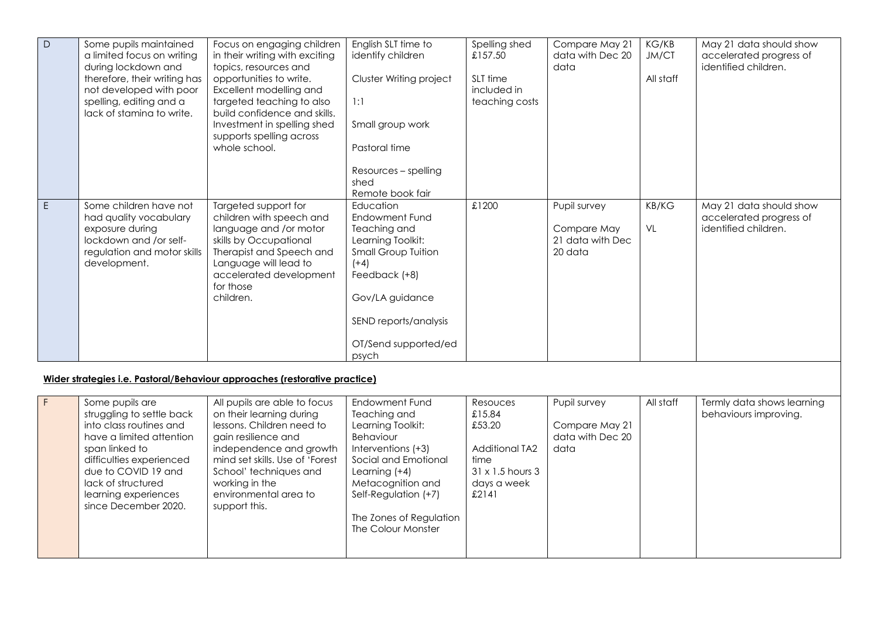| $\overline{D}$                                                             | Some pupils maintained<br>a limited focus on writing<br>during lockdown and<br>therefore, their writing has<br>not developed with poor<br>spelling, editing and a<br>lack of stamina to write. | Focus on engaging children<br>in their writing with exciting<br>topics, resources and<br>opportunities to write.<br>Excellent modelling and<br>targeted teaching to also<br>build confidence and skills.<br>Investment in spelling shed<br>supports spelling across<br>whole school. | English SLT time to<br>identify children<br>Cluster Writing project<br>1:1<br>Small group work<br>Pastoral time                                                                                        | Spelling shed<br>£157.50<br>SLT time<br>included in<br>teaching costs | Compare May 21<br>data with Dec 20<br>data                 | KG/KB<br>JM/CT<br>All staff | May 21 data should show<br>accelerated progress of<br>identified children. |
|----------------------------------------------------------------------------|------------------------------------------------------------------------------------------------------------------------------------------------------------------------------------------------|--------------------------------------------------------------------------------------------------------------------------------------------------------------------------------------------------------------------------------------------------------------------------------------|--------------------------------------------------------------------------------------------------------------------------------------------------------------------------------------------------------|-----------------------------------------------------------------------|------------------------------------------------------------|-----------------------------|----------------------------------------------------------------------------|
|                                                                            |                                                                                                                                                                                                |                                                                                                                                                                                                                                                                                      | Resources - spelling<br>shed<br>Remote book fair                                                                                                                                                       |                                                                       |                                                            |                             |                                                                            |
| $\mathsf E$                                                                | Some children have not<br>had quality vocabulary<br>exposure during<br>lockdown and /or self-<br>regulation and motor skills<br>development.                                                   | Targeted support for<br>children with speech and<br>language and /or motor<br>skills by Occupational<br>Therapist and Speech and<br>Language will lead to<br>accelerated development<br>for those<br>children.                                                                       | Education<br>Endowment Fund<br>Teaching and<br>Learning Toolkit:<br><b>Small Group Tuition</b><br>$(+4)$<br>Feedback (+8)<br>Gov/LA guidance<br>SEND reports/analysis<br>OT/Send supported/ed<br>psych | £1200                                                                 | Pupil survey<br>Compare May<br>21 data with Dec<br>20 data | KB/KG<br>VL                 | May 21 data should show<br>accelerated progress of<br>identified children. |
| Wider strategies i.e. Pastoral/Behaviour approaches (restorative practice) |                                                                                                                                                                                                |                                                                                                                                                                                                                                                                                      |                                                                                                                                                                                                        |                                                                       |                                                            |                             |                                                                            |
| F                                                                          | Some pupils are<br>struggling to settle back<br>into class routines and                                                                                                                        | All pupils are able to focus<br>on their learning during<br>lessons. Children need to                                                                                                                                                                                                | Endowment Fund<br>Teaching and<br>Learning Toolkit:                                                                                                                                                    | Resouces<br>£15.84<br>£53.20                                          | Pupil survey<br>Compare May 21                             | All staff                   | Termly data shows learning<br>behaviours improving.                        |

Additional TA2

data with Dec 20

data

31 x 1.5 hours 3 days a week  $£2141$ 

time

have a limited attention

gain resilience and

working in the

support this.

independence and growth mind set skills. Use of 'Forest School' techniques and

Behaviour Interventions (+3) Social and Emotional

Learning (+4) Metacognition and Self-Regulation (+7)

The Zones of Regulation The Colour Monster

environmental area to

difficulties experienced due to COVID 19 and lack of structured learning experiences since December 2020.

span linked to